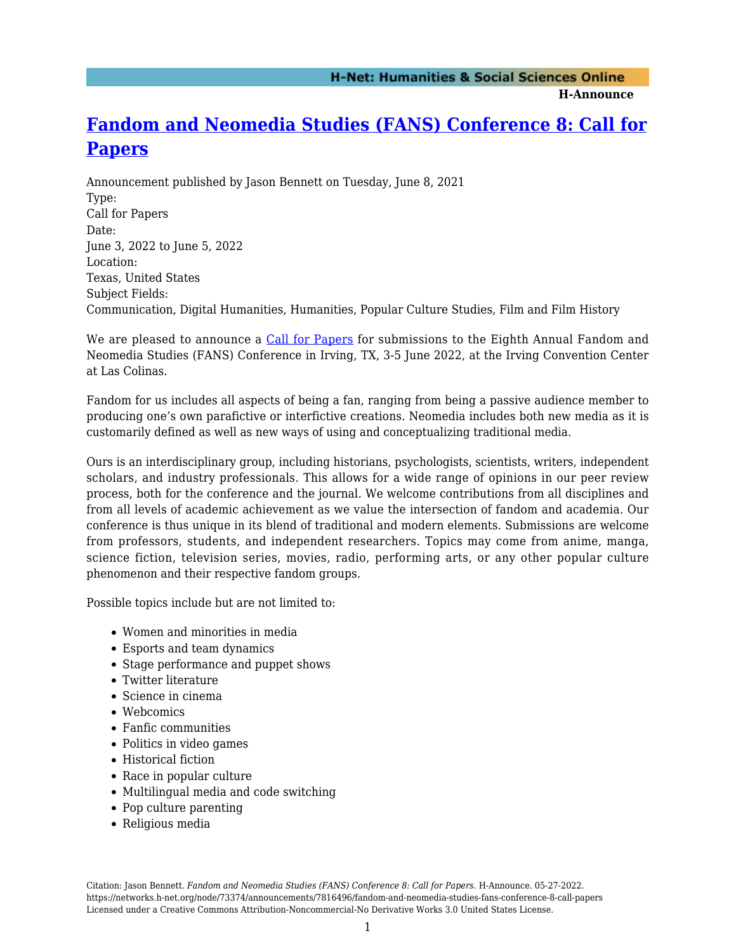**H-Announce** 

## **[Fandom and Neomedia Studies \(FANS\) Conference 8: Call for](https://networks.h-net.org/node/73374/announcements/7816496/fandom-and-neomedia-studies-fans-conference-8-call-papers) [Papers](https://networks.h-net.org/node/73374/announcements/7816496/fandom-and-neomedia-studies-fans-conference-8-call-papers)**

Announcement published by Jason Bennett on Tuesday, June 8, 2021 Type: Call for Papers Date: June 3, 2022 to June 5, 2022 Location: Texas, United States Subject Fields: Communication, Digital Humanities, Humanities, Popular Culture Studies, Film and Film History

We are pleased to announce a [Call for Papers](http://fansconference.org/dRuZ33A/wp-content/uploads/2021/06/FANS-CFP-20221.pdf) for submissions to the Eighth Annual Fandom and Neomedia Studies (FANS) Conference in Irving, TX, 3-5 June 2022, at the Irving Convention Center at Las Colinas.

Fandom for us includes all aspects of being a fan, ranging from being a passive audience member to producing one's own parafictive or interfictive creations. Neomedia includes both new media as it is customarily defined as well as new ways of using and conceptualizing traditional media.

Ours is an interdisciplinary group, including historians, psychologists, scientists, writers, independent scholars, and industry professionals. This allows for a wide range of opinions in our peer review process, both for the conference and the journal. We welcome contributions from all disciplines and from all levels of academic achievement as we value the intersection of fandom and academia. Our conference is thus unique in its blend of traditional and modern elements. Submissions are welcome from professors, students, and independent researchers. Topics may come from anime, manga, science fiction, television series, movies, radio, performing arts, or any other popular culture phenomenon and their respective fandom groups.

Possible topics include but are not limited to:

- Women and minorities in media
- Esports and team dynamics
- Stage performance and puppet shows
- Twitter literature
- Science in cinema
- Webcomics
- Fanfic communities
- Politics in video games
- Historical fiction
- Race in popular culture
- Multilingual media and code switching
- Pop culture parenting
- Religious media

Citation: Jason Bennett. *Fandom and Neomedia Studies (FANS) Conference 8: Call for Papers*. H-Announce. 05-27-2022. https://networks.h-net.org/node/73374/announcements/7816496/fandom-and-neomedia-studies-fans-conference-8-call-papers Licensed under a Creative Commons Attribution-Noncommercial-No Derivative Works 3.0 United States License.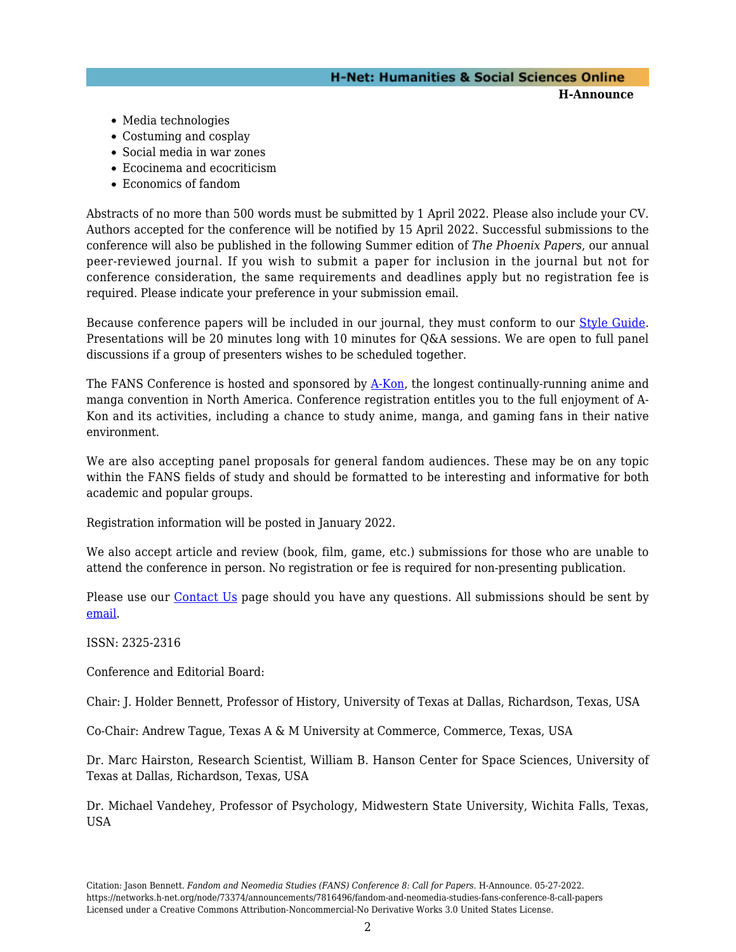## **H-Net: Humanities & Social Sciences Online H-Announce**

- Media technologies
- Costuming and cosplay
- Social media in war zones
- Ecocinema and ecocriticism
- Economics of fandom

Abstracts of no more than 500 words must be submitted by 1 April 2022. Please also include your CV. Authors accepted for the conference will be notified by 15 April 2022. Successful submissions to the conference will also be published in the following Summer edition of *The Phoenix Papers*, our annual peer-reviewed journal. If you wish to submit a paper for inclusion in the journal but not for conference consideration, the same requirements and deadlines apply but no registration fee is required. Please indicate your preference in your submission email.

Because conference papers will be included in our journal, they must conform to our [Style Guide](http://bit.ly/MfVtGe). Presentations will be 20 minutes long with 10 minutes for Q&A sessions. We are open to full panel discussions if a group of presenters wishes to be scheduled together.

The FANS Conference is hosted and sponsored by [A-Kon](http://a-kon.com/), the longest continually-running anime and manga convention in North America. Conference registration entitles you to the full enjoyment of A-Kon and its activities, including a chance to study anime, manga, and gaming fans in their native environment.

We are also accepting panel proposals for general fandom audiences. These may be on any topic within the FANS fields of study and should be formatted to be interesting and informative for both academic and popular groups.

Registration information will be posted in January 2022.

We also accept article and review (book, film, game, etc.) submissions for those who are unable to attend the conference in person. No registration or fee is required for non-presenting publication.

Please use our [Contact Us](http://fansconf.a-kon.com/dRuZ33A/?page_id=7) page should you have any questions. All submissions should be sent by [email.](mailto:FANSConference@gmail.com)

ISSN: 2325-2316

Conference and Editorial Board:

Chair: J. Holder Bennett, Professor of History, University of Texas at Dallas, Richardson, Texas, USA

Co-Chair: Andrew Tague, Texas A & M University at Commerce, Commerce, Texas, USA

Dr. Marc Hairston, Research Scientist, William B. Hanson Center for Space Sciences, University of Texas at Dallas, Richardson, Texas, USA

Dr. Michael Vandehey, Professor of Psychology, Midwestern State University, Wichita Falls, Texas, USA